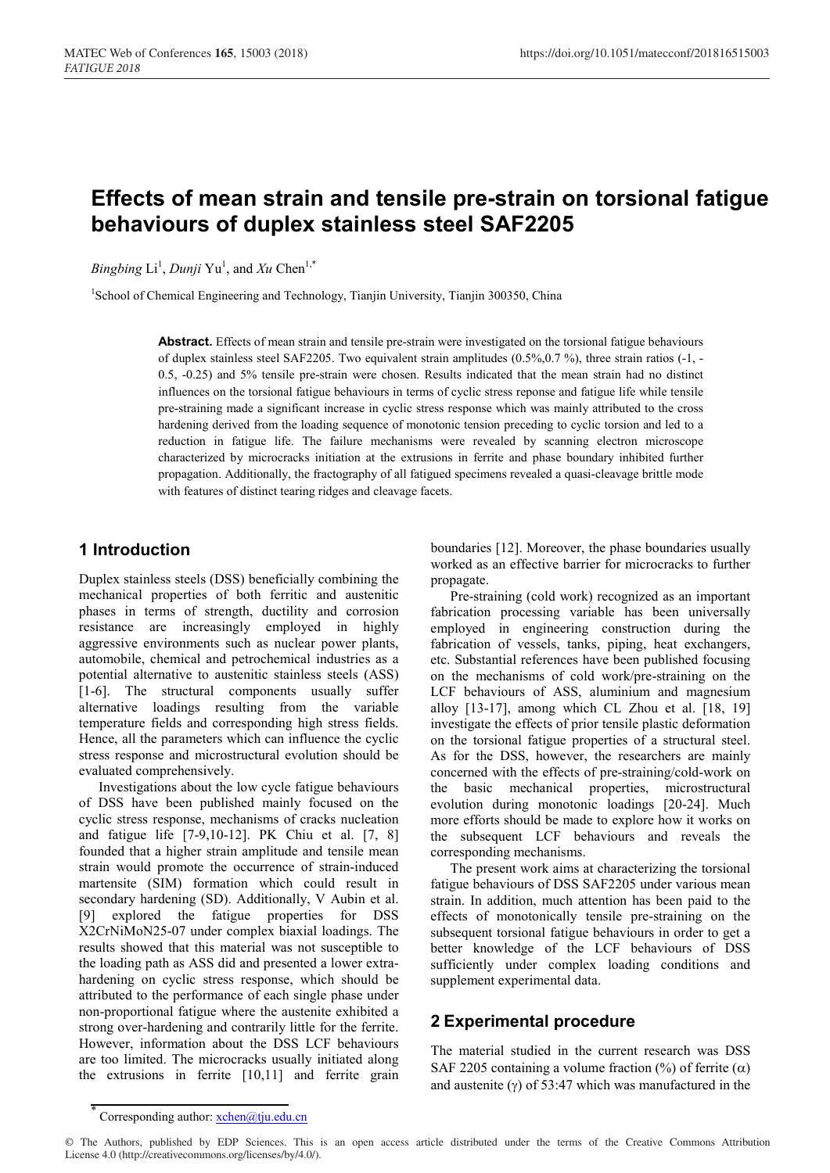# **Effects of mean strain and tensile pre-strain on torsional fatigue behaviours of duplex stainless steel SAF2205**

*Bingbing* Li<sup>1</sup>, *Dunji* Yu<sup>1</sup>, and *Xu* Chen<sup>1,\*</sup>

<sup>1</sup>School of Chemical Engineering and Technology, Tianjin University, Tianjin 300350, China

**Abstract.** Effects of mean strain and tensile pre-strain were investigated on the torsional fatigue behaviours of duplex stainless steel SAF2205. Two equivalent strain amplitudes (0.5%,0.7 %), three strain ratios (-1, - 0.5, -0.25) and 5% tensile pre-strain were chosen. Results indicated that the mean strain had no distinct influences on the torsional fatigue behaviours in terms of cyclic stress reponse and fatigue life while tensile pre-straining made a significant increase in cyclic stress response which was mainly attributed to the cross hardening derived from the loading sequence of monotonic tension preceding to cyclic torsion and led to a reduction in fatigue life. The failure mechanisms were revealed by scanning electron microscope characterized by microcracks initiation at the extrusions in ferrite and phase boundary inhibited further propagation. Additionally, the fractography of all fatigued specimens revealed a quasi-cleavage brittle mode with features of distinct tearing ridges and cleavage facets.

### **1 Introduction**

Duplex stainless steels (DSS) beneficially combining the mechanical properties of both ferritic and austenitic phases in terms of strength, ductility and corrosion resistance are increasingly employed in highly aggressive environments such as nuclear power plants, automobile, chemical and petrochemical industries as a potential alternative to austenitic stainless steels (ASS) [1-6]. The structural components usually suffer alternative loadings resulting from the variable temperature fields and corresponding high stress fields. Hence, all the parameters which can influence the cyclic stress response and microstructural evolution should be evaluated comprehensively.

Investigations about the low cycle fatigue behaviours of DSS have been published mainly focused on the cyclic stress response, mechanisms of cracks nucleation and fatigue life [7-9,10-12]. PK Chiu et al. [7, 8] founded that a higher strain amplitude and tensile mean strain would promote the occurrence of strain-induced martensite (SIM) formation which could result in secondary hardening (SD). Additionally, V Aubin et al. [9] explored the fatigue properties for DSS X2CrNiMoN25-07 under complex biaxial loadings. The results showed that this material was not susceptible to the loading path as ASS did and presented a lower extrahardening on cyclic stress response, which should be attributed to the performance of each single phase under non-proportional fatigue where the austenite exhibited a strong over-hardening and contrarily little for the ferrite. However, information about the DSS LCF behaviours are too limited. The microcracks usually initiated along the extrusions in ferrite [10,11] and ferrite grain

boundaries [12]. Moreover, the phase boundaries usually worked as an effective barrier for microcracks to further propagate.

Pre-straining (cold work) recognized as an important fabrication processing variable has been universally employed in engineering construction during the fabrication of vessels, tanks, piping, heat exchangers, etc. Substantial references have been published focusing on the mechanisms of cold work/pre-straining on the LCF behaviours of ASS, aluminium and magnesium alloy [13-17], among which CL Zhou et al. [18, 19] investigate the effects of prior tensile plastic deformation on the torsional fatigue properties of a structural steel. As for the DSS, however, the researchers are mainly concerned with the effects of pre-straining/cold-work on the basic mechanical properties, microstructural evolution during monotonic loadings [20-24]. Much more efforts should be made to explore how it works on the subsequent LCF behaviours and reveals the corresponding mechanisms.

The present work aims at characterizing the torsional fatigue behaviours of DSS SAF2205 under various mean strain. In addition, much attention has been paid to the effects of monotonically tensile pre-straining on the subsequent torsional fatigue behaviours in order to get a better knowledge of the LCF behaviours of DSS sufficiently under complex loading conditions and supplement experimental data.

## **2 Experimental procedure**

The material studied in the current research was DSS SAF 2205 containing a volume fraction  $(\%)$  of ferrite  $(\alpha)$ and austenite ( $\gamma$ ) of 53:47 which was manufactured in the

Corresponding author: xchen@tju.edu.cn

<sup>©</sup> The Authors, published by EDP Sciences. This is an open access article distributed under the terms of the Creative Commons Attribution License 4.0 (http://creativecommons.org/licenses/by/4.0/).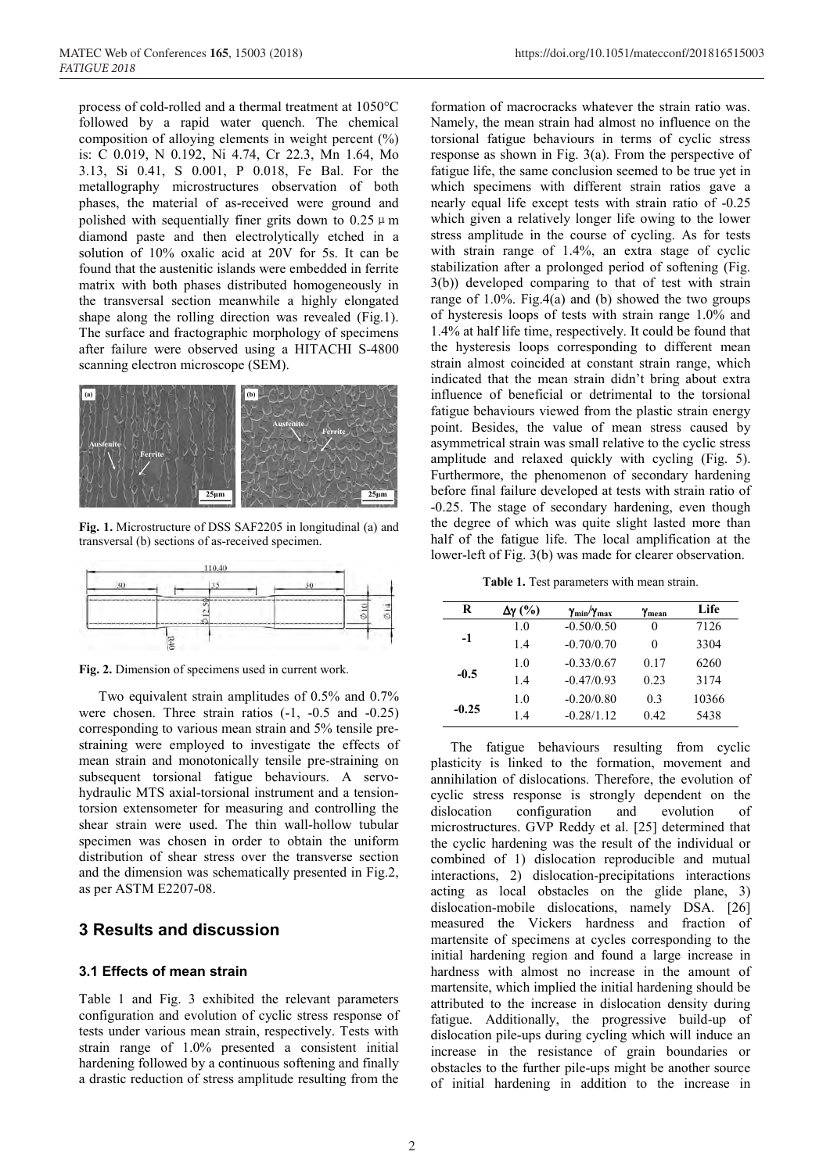process of cold-rolled and a thermal treatment at 1050°C followed by a rapid water quench. The chemical composition of alloying elements in weight percent (%) is: C 0.019, N 0.192, Ni 4.74, Cr 22.3, Mn 1.64, Mo 3.13, Si 0.41, S 0.001, P 0.018, Fe Bal. For the metallography microstructures observation of both phases, the material of as-received were ground and polished with sequentially finer grits down to  $0.25 \mu$  m diamond paste and then electrolytically etched in a solution of 10% oxalic acid at 20V for 5s. It can be found that the austenitic islands were embedded in ferrite matrix with both phases distributed homogeneously in the transversal section meanwhile a highly elongated shape along the rolling direction was revealed (Fig.1). The surface and fractographic morphology of specimens after failure were observed using a HITACHI S-4800 scanning electron microscope (SEM).



**Fig. 1.** Microstructure of DSS SAF2205 in longitudinal (a) and transversal (b) sections of as-received specimen.



**Fig. 2.** Dimension of specimens used in current work.

Two equivalent strain amplitudes of 0.5% and 0.7% were chosen. Three strain ratios (-1, -0.5 and -0.25) corresponding to various mean strain and 5% tensile prestraining were employed to investigate the effects of mean strain and monotonically tensile pre-straining on subsequent torsional fatigue behaviours. A servohydraulic MTS axial-torsional instrument and a tensiontorsion extensometer for measuring and controlling the shear strain were used. The thin wall-hollow tubular specimen was chosen in order to obtain the uniform distribution of shear stress over the transverse section and the dimension was schematically presented in Fig.2, as per ASTM E2207-08.

### **3 Results and discussion**

#### **3.1 Effects of mean strain**

Table 1 and Fig. 3 exhibited the relevant parameters configuration and evolution of cyclic stress response of tests under various mean strain, respectively. Tests with strain range of 1.0% presented a consistent initial hardening followed by a continuous softening and finally a drastic reduction of stress amplitude resulting from the

formation of macrocracks whatever the strain ratio was. Namely, the mean strain had almost no influence on the torsional fatigue behaviours in terms of cyclic stress response as shown in Fig. 3(a). From the perspective of fatigue life, the same conclusion seemed to be true yet in which specimens with different strain ratios gave a nearly equal life except tests with strain ratio of -0.25 which given a relatively longer life owing to the lower stress amplitude in the course of cycling. As for tests with strain range of 1.4%, an extra stage of cyclic stabilization after a prolonged period of softening (Fig. 3(b)) developed comparing to that of test with strain range of  $1.0\%$ . Fig.4(a) and (b) showed the two groups of hysteresis loops of tests with strain range 1.0% and 1.4% at half life time, respectively. It could be found that the hysteresis loops corresponding to different mean strain almost coincided at constant strain range, which indicated that the mean strain didn't bring about extra influence of beneficial or detrimental to the torsional fatigue behaviours viewed from the plastic strain energy point. Besides, the value of mean stress caused by asymmetrical strain was small relative to the cyclic stress amplitude and relaxed quickly with cycling (Fig. 5). Furthermore, the phenomenon of secondary hardening before final failure developed at tests with strain ratio of -0.25. The stage of secondary hardening, even though the degree of which was quite slight lasted more than half of the fatigue life. The local amplification at the lower-left of Fig. 3(b) was made for clearer observation.

**Table 1.** Test parameters with mean strain.

| R       | Δγ(%) | $\gamma_{\rm min}/\gamma_{\rm max}$ | Ymean          | Life  |
|---------|-------|-------------------------------------|----------------|-------|
|         | 1.0   | $-0.50/0.50$                        | 0              | 7126  |
| $-1$    | 1.4   | $-0.70/0.70$                        | 0              | 3304  |
|         | 1.0   | $-0.33/0.67$                        | 0.17           | 6260  |
| $-0.5$  | 1.4   | $-0.47/0.93$                        | 0.23           | 3174  |
| $-0.25$ | 1.0   | $-0.20/0.80$                        | 0 <sup>3</sup> | 10366 |
|         | 1.4   | $-0.28/1.12$                        | 0.42           | 5438  |

The fatigue behaviours resulting from cyclic plasticity is linked to the formation, movement and annihilation of dislocations. Therefore, the evolution of cyclic stress response is strongly dependent on the dislocation configuration and evolution of microstructures. GVP Reddy et al. [25] determined that the cyclic hardening was the result of the individual or combined of 1) dislocation reproducible and mutual interactions, 2) dislocation-precipitations interactions acting as local obstacles on the glide plane, 3) dislocation-mobile dislocations, namely DSA. [26] measured the Vickers hardness and fraction of martensite of specimens at cycles corresponding to the initial hardening region and found a large increase in hardness with almost no increase in the amount of martensite, which implied the initial hardening should be attributed to the increase in dislocation density during fatigue. Additionally, the progressive build-up of dislocation pile-ups during cycling which will induce an increase in the resistance of grain boundaries or obstacles to the further pile-ups might be another source of initial hardening in addition to the increase in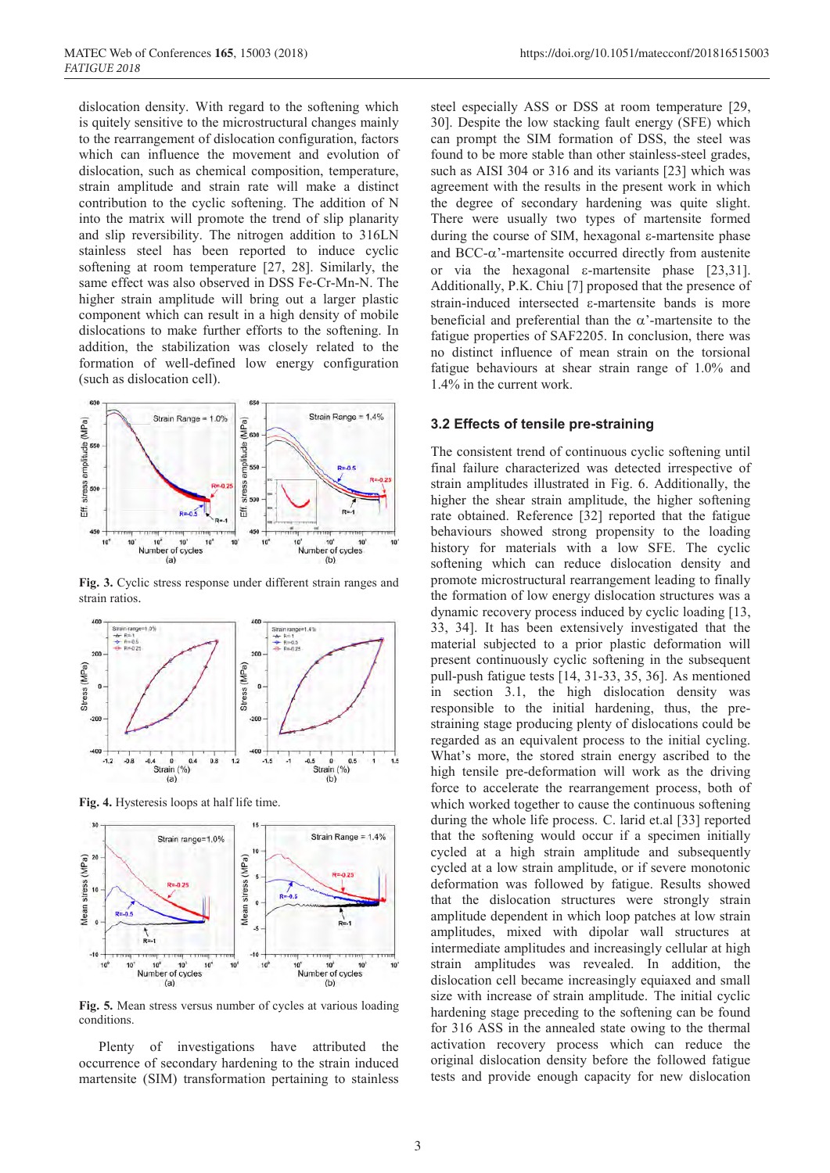dislocation density. With regard to the softening which is quitely sensitive to the microstructural changes mainly to the rearrangement of dislocation configuration, factors which can influence the movement and evolution of dislocation, such as chemical composition, temperature, strain amplitude and strain rate will make a distinct contribution to the cyclic softening. The addition of N into the matrix will promote the trend of slip planarity and slip reversibility. The nitrogen addition to 316LN stainless steel has been reported to induce cyclic softening at room temperature [27, 28]. Similarly, the same effect was also observed in DSS Fe-Cr-Mn-N. The higher strain amplitude will bring out a larger plastic component which can result in a high density of mobile dislocations to make further efforts to the softening. In addition, the stabilization was closely related to the formation of well-defined low energy configuration (such as dislocation cell).



**Fig. 3.** Cyclic stress response under different strain ranges and strain ratios.



**Fig. 4.** Hysteresis loops at half life time.



**Fig. 5.** Mean stress versus number of cycles at various loading conditions.

Plenty of investigations have attributed the occurrence of secondary hardening to the strain induced martensite (SIM) transformation pertaining to stainless

steel especially ASS or DSS at room temperature [29, 30]. Despite the low stacking fault energy (SFE) which can prompt the SIM formation of DSS, the steel was found to be more stable than other stainless-steel grades, such as AISI 304 or 316 and its variants [23] which was agreement with the results in the present work in which the degree of secondary hardening was quite slight. There were usually two types of martensite formed during the course of SIM, hexagonal ε-martensite phase and  $BCC-\alpha$ '-martensite occurred directly from austenite or via the hexagonal ε-martensite phase [23,31]. Additionally, P.K. Chiu [7] proposed that the presence of strain-induced intersected ε-martensite bands is more beneficial and preferential than the  $\alpha$ '-martensite to the fatigue properties of SAF2205. In conclusion, there was no distinct influence of mean strain on the torsional fatigue behaviours at shear strain range of 1.0% and 1.4% in the current work.

#### **3.2 Effects of tensile pre-straining**

The consistent trend of continuous cyclic softening until final failure characterized was detected irrespective of strain amplitudes illustrated in Fig. 6. Additionally, the higher the shear strain amplitude, the higher softening rate obtained. Reference [32] reported that the fatigue behaviours showed strong propensity to the loading history for materials with a low SFE. The cyclic softening which can reduce dislocation density and promote microstructural rearrangement leading to finally the formation of low energy dislocation structures was a dynamic recovery process induced by cyclic loading [13, 33, 34]. It has been extensively investigated that the material subjected to a prior plastic deformation will present continuously cyclic softening in the subsequent pull-push fatigue tests [14, 31-33, 35, 36]. As mentioned in section 3.1, the high dislocation density was responsible to the initial hardening, thus, the prestraining stage producing plenty of dislocations could be regarded as an equivalent process to the initial cycling. What's more, the stored strain energy ascribed to the high tensile pre-deformation will work as the driving force to accelerate the rearrangement process, both of which worked together to cause the continuous softening during the whole life process. C. larid et.al [33] reported that the softening would occur if a specimen initially cycled at a high strain amplitude and subsequently cycled at a low strain amplitude, or if severe monotonic deformation was followed by fatigue. Results showed that the dislocation structures were strongly strain amplitude dependent in which loop patches at low strain amplitudes, mixed with dipolar wall structures at intermediate amplitudes and increasingly cellular at high strain amplitudes was revealed. In addition, the dislocation cell became increasingly equiaxed and small size with increase of strain amplitude. The initial cyclic hardening stage preceding to the softening can be found for 316 ASS in the annealed state owing to the thermal activation recovery process which can reduce the original dislocation density before the followed fatigue tests and provide enough capacity for new dislocation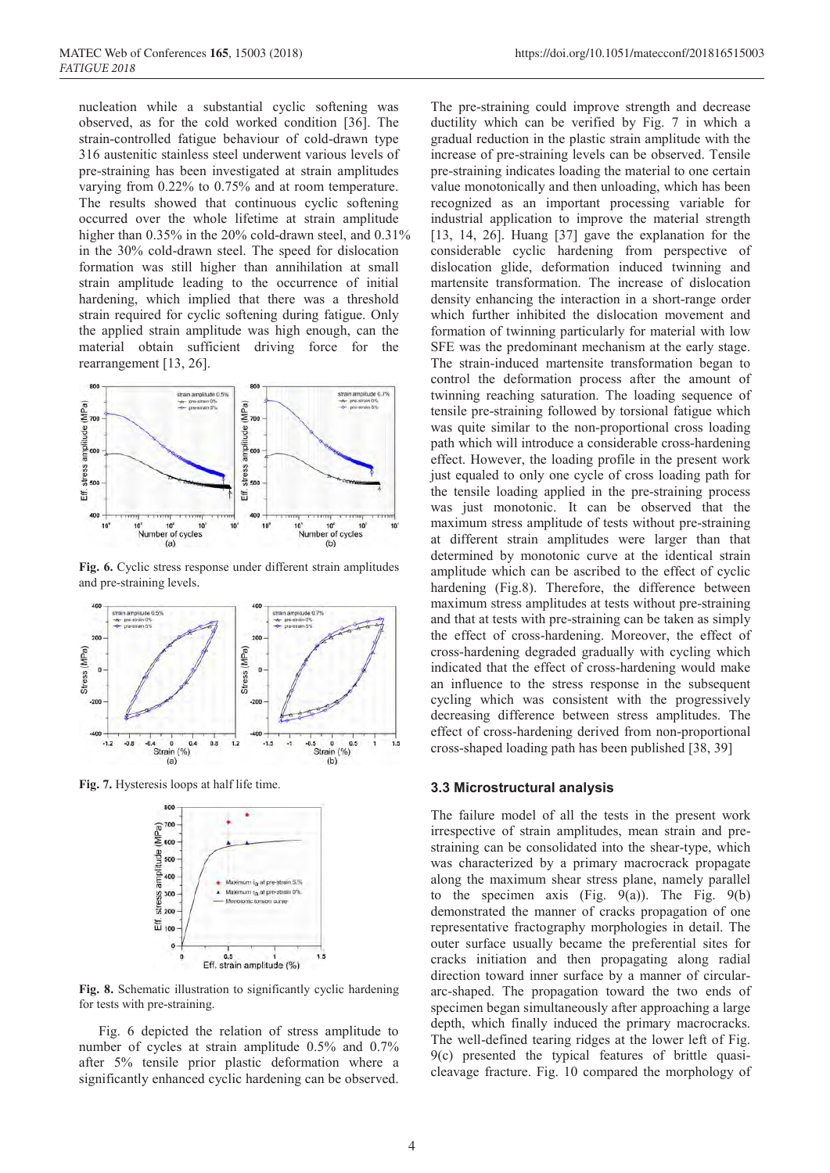nucleation while a substantial cyclic softening was observed, as for the cold worked condition [36]. The strain-controlled fatigue behaviour of cold-drawn type 316 austenitic stainless steel underwent various levels of pre-straining has been investigated at strain amplitudes varying from 0.22% to 0.75% and at room temperature. The results showed that continuous cyclic softening occurred over the whole lifetime at strain amplitude higher than 0.35% in the 20% cold-drawn steel, and 0.31% in the 30% cold-drawn steel. The speed for dislocation formation was still higher than annihilation at small strain amplitude leading to the occurrence of initial hardening, which implied that there was a threshold strain required for cyclic softening during fatigue. Only the applied strain amplitude was high enough, can the material obtain sufficient driving force for the rearrangement [13, 26].



**Fig. 6.** Cyclic stress response under different strain amplitudes and pre-straining levels.



**Fig. 7.** Hysteresis loops at half life time.



**Fig. 8.** Schematic illustration to significantly cyclic hardening for tests with pre-straining.

Fig. 6 depicted the relation of stress amplitude to number of cycles at strain amplitude 0.5% and 0.7% after 5% tensile prior plastic deformation where a significantly enhanced cyclic hardening can be observed.

The pre-straining could improve strength and decrease ductility which can be verified by Fig. 7 in which a gradual reduction in the plastic strain amplitude with the increase of pre-straining levels can be observed. Tensile pre-straining indicates loading the material to one certain value monotonically and then unloading, which has been recognized as an important processing variable for industrial application to improve the material strength [13, 14, 26]. Huang [37] gave the explanation for the considerable cyclic hardening from perspective of dislocation glide, deformation induced twinning and martensite transformation. The increase of dislocation density enhancing the interaction in a short-range order which further inhibited the dislocation movement and formation of twinning particularly for material with low SFE was the predominant mechanism at the early stage. The strain-induced martensite transformation began to control the deformation process after the amount of twinning reaching saturation. The loading sequence of tensile pre-straining followed by torsional fatigue which was quite similar to the non-proportional cross loading path which will introduce a considerable cross-hardening effect. However, the loading profile in the present work just equaled to only one cycle of cross loading path for the tensile loading applied in the pre-straining process was just monotonic. It can be observed that the maximum stress amplitude of tests without pre-straining at different strain amplitudes were larger than that determined by monotonic curve at the identical strain amplitude which can be ascribed to the effect of cyclic hardening (Fig.8). Therefore, the difference between maximum stress amplitudes at tests without pre-straining and that at tests with pre-straining can be taken as simply the effect of cross-hardening. Moreover, the effect of cross-hardening degraded gradually with cycling which indicated that the effect of cross-hardening would make an influence to the stress response in the subsequent cycling which was consistent with the progressively decreasing difference between stress amplitudes. The effect of cross-hardening derived from non-proportional cross-shaped loading path has been published [38, 39]

#### **3.3 Microstructural analysis**

The failure model of all the tests in the present work irrespective of strain amplitudes, mean strain and prestraining can be consolidated into the shear-type, which was characterized by a primary macrocrack propagate along the maximum shear stress plane, namely parallel to the specimen axis (Fig.  $9(a)$ ). The Fig.  $9(b)$ demonstrated the manner of cracks propagation of one representative fractography morphologies in detail. The outer surface usually became the preferential sites for cracks initiation and then propagating along radial direction toward inner surface by a manner of circulararc-shaped. The propagation toward the two ends of specimen began simultaneously after approaching a large depth, which finally induced the primary macrocracks. The well-defined tearing ridges at the lower left of Fig. 9(c) presented the typical features of brittle quasicleavage fracture. Fig. 10 compared the morphology of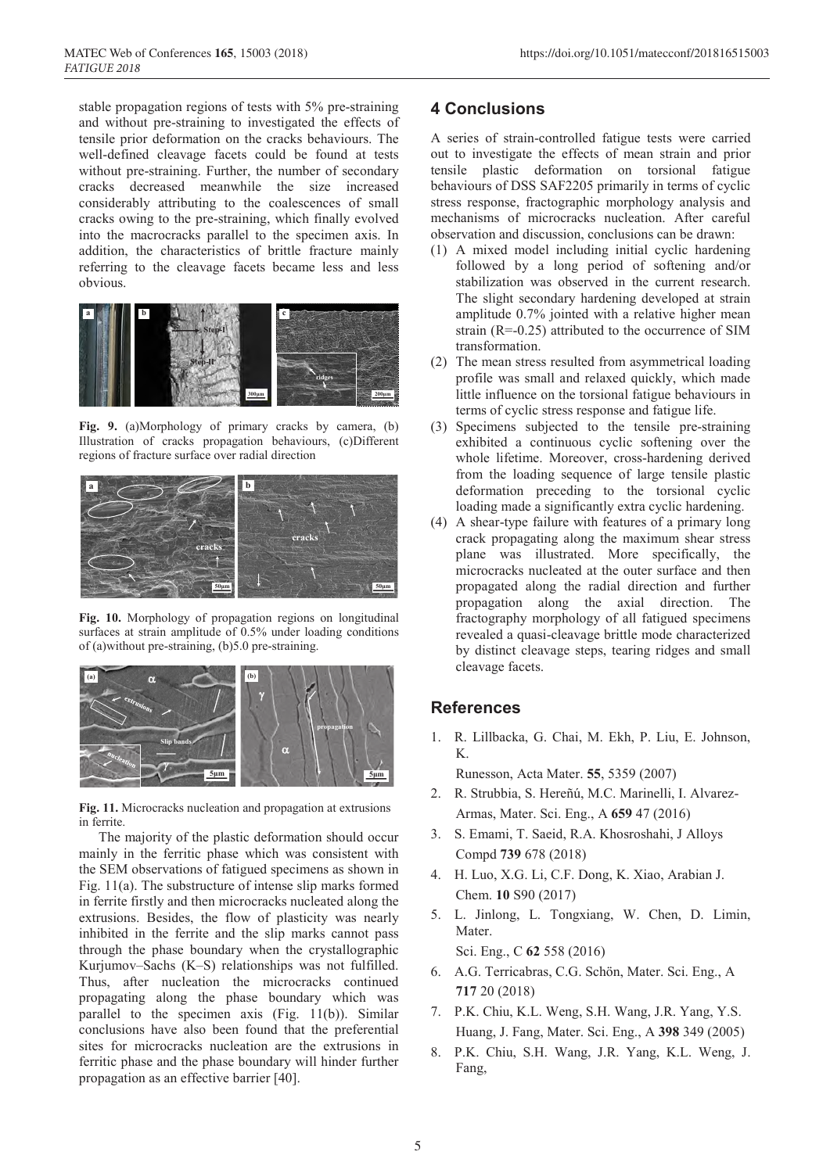stable propagation regions of tests with 5% pre-straining and without pre-straining to investigated the effects of tensile prior deformation on the cracks behaviours. The well-defined cleavage facets could be found at tests without pre-straining. Further, the number of secondary cracks decreased meanwhile the size increased considerably attributing to the coalescences of small cracks owing to the pre-straining, which finally evolved into the macrocracks parallel to the specimen axis. In addition, the characteristics of brittle fracture mainly referring to the cleavage facets became less and less obvious.



**Fig. 9.** (a)Morphology of primary cracks by camera, (b) Illustration of cracks propagation behaviours, (c)Different regions of fracture surface over radial direction



**Fig. 10.** Morphology of propagation regions on longitudinal surfaces at strain amplitude of 0.5% under loading conditions of (a)without pre-straining, (b)5.0 pre-straining.



**Fig. 11.** Microcracks nucleation and propagation at extrusions in ferrite.

The majority of the plastic deformation should occur mainly in the ferritic phase which was consistent with the SEM observations of fatigued specimens as shown in Fig. 11(a). The substructure of intense slip marks formed in ferrite firstly and then microcracks nucleated along the extrusions. Besides, the flow of plasticity was nearly inhibited in the ferrite and the slip marks cannot pass through the phase boundary when the crystallographic Kurjumov–Sachs (K–S) relationships was not fulfilled. Thus, after nucleation the microcracks continued propagating along the phase boundary which was parallel to the specimen axis (Fig. 11(b)). Similar conclusions have also been found that the preferential sites for microcracks nucleation are the extrusions in ferritic phase and the phase boundary will hinder further propagation as an effective barrier [40].

### **4 Conclusions**

A series of strain-controlled fatigue tests were carried out to investigate the effects of mean strain and prior tensile plastic deformation on torsional fatigue behaviours of DSS SAF2205 primarily in terms of cyclic stress response, fractographic morphology analysis and mechanisms of microcracks nucleation. After careful observation and discussion, conclusions can be drawn:

- (1) A mixed model including initial cyclic hardening followed by a long period of softening and/or stabilization was observed in the current research. The slight secondary hardening developed at strain amplitude 0.7% jointed with a relative higher mean strain (R=-0.25) attributed to the occurrence of SIM transformation.
- (2) The mean stress resulted from asymmetrical loading profile was small and relaxed quickly, which made little influence on the torsional fatigue behaviours in terms of cyclic stress response and fatigue life.
- (3) Specimens subjected to the tensile pre-straining exhibited a continuous cyclic softening over the whole lifetime. Moreover, cross-hardening derived from the loading sequence of large tensile plastic deformation preceding to the torsional cyclic loading made a significantly extra cyclic hardening.
- (4) A shear-type failure with features of a primary long crack propagating along the maximum shear stress plane was illustrated. More specifically, the microcracks nucleated at the outer surface and then propagated along the radial direction and further propagation along the axial direction. The fractography morphology of all fatigued specimens revealed a quasi-cleavage brittle mode characterized by distinct cleavage steps, tearing ridges and small cleavage facets.

### **References**

1. R. Lillbacka, G. Chai, M. Ekh, P. Liu, E. Johnson, K.

Runesson, Acta Mater. **55**, 5359 (2007)

- 2. R. Strubbia, S. Hereñú, M.C. Marinelli, I. Alvarez-Armas, Mater. Sci. Eng., A **659** 47 (2016)
- 3. S. Emami, T. Saeid, R.A. Khosroshahi, J Alloys Compd **739** 678 (2018)
- 4. H. Luo, X.G. Li, C.F. Dong, K. Xiao, Arabian J. Chem. **10** S90 (2017)
- 5. L. Jinlong, L. Tongxiang, W. Chen, D. Limin, Mater.

Sci. Eng., C **62** 558 (2016)

- 6. A.G. Terricabras, C.G. Schön, Mater. Sci. Eng., A **717** 20 (2018)
- 7. P.K. Chiu, K.L. Weng, S.H. Wang, J.R. Yang, Y.S. Huang, J. Fang, Mater. Sci. Eng., A **398** 349 (2005)
- 8. P.K. Chiu, S.H. Wang, J.R. Yang, K.L. Weng, J. Fang,